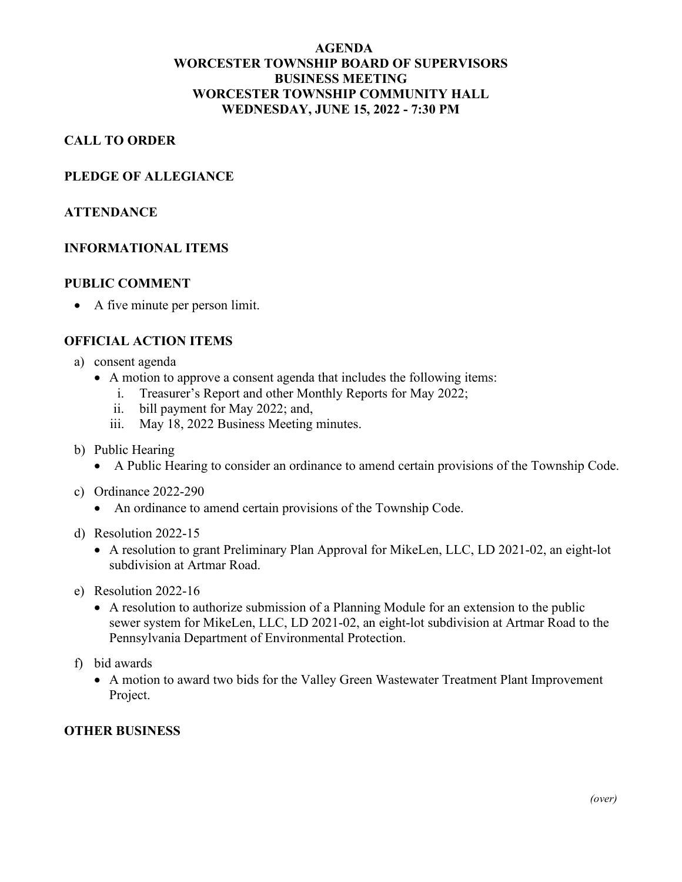## **AGENDA WORCESTER TOWNSHIP BOARD OF SUPERVISORS BUSINESS MEETING WORCESTER TOWNSHIP COMMUNITY HALL WEDNESDAY, JUNE 15, 2022 - 7:30 PM**

## **CALL TO ORDER**

#### **PLEDGE OF ALLEGIANCE**

#### **ATTENDANCE**

#### **INFORMATIONAL ITEMS**

#### **PUBLIC COMMENT**

• A five minute per person limit.

#### **OFFICIAL ACTION ITEMS**

- a) consent agenda
	- A motion to approve a consent agenda that includes the following items:
		- i. Treasurer's Report and other Monthly Reports for May 2022;
		- ii. bill payment for May 2022; and,<br>iii. May 18, 2022 Business Meeting
		- May 18, 2022 Business Meeting minutes.

#### b) Public Hearing

- A Public Hearing to consider an ordinance to amend certain provisions of the Township Code.
- c) Ordinance 2022-290
	- An ordinance to amend certain provisions of the Township Code.
- d) Resolution 2022-15
	- A resolution to grant Preliminary Plan Approval for MikeLen, LLC, LD 2021-02, an eight-lot subdivision at Artmar Road.
- e) Resolution 2022-16
	- A resolution to authorize submission of a Planning Module for an extension to the public sewer system for MikeLen, LLC, LD 2021-02, an eight-lot subdivision at Artmar Road to the Pennsylvania Department of Environmental Protection.
- f) bid awards
	- A motion to award two bids for the Valley Green Wastewater Treatment Plant Improvement Project.

### **OTHER BUSINESS**